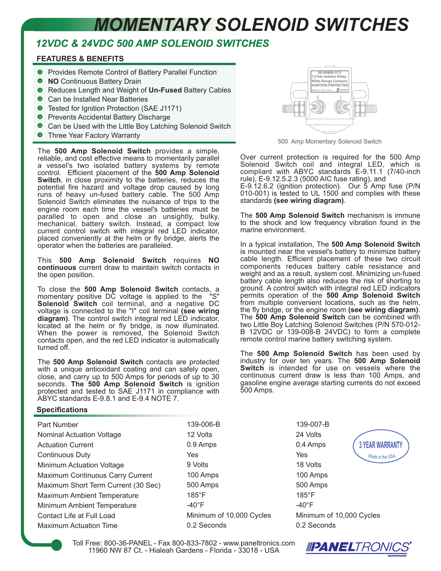## *MOMENTARY SOLENOID SWITCHES*

## *12VDC & 24VDC 500 AMP SOLENOID SWITCHES*

## **FEATURES & BENEFITS**

- **Provides Remote Control of Battery Parallel Function**
- **NO** Continuous Battery Drain
- Reduces Length and Weight of **Un-Fused** Battery Cables
- Can be Installed Near Batteries
- Tested for Ignition Protection (SAE J1171)
- Prevents Accidental Battery Discharge
- Can be Used with the Little Boy Latching Solenoid Switch
- Three Year Factory Warranty

The **500 Amp Solenoid Switch** provides a simple, reliable, and cost effective means to momentarily parallel a vessel's two isolated battery systems by remote control. Efficient placement of the **500 Amp Solenoid Switch**, in close proximity to the batteries, reduces the potential fire hazard and voltage drop caused by long runs of heavy un-fused battery cable. The 500 Amp Solenoid Switch eliminates the nuisance of trips to the engine room each time the vessel's batteries must be paralled to open and close an unsightly, bulky, mechanical, battery switch. Instead, a compact low current control switch with integral red LED indicator, placed conveniently at the helm or fly bridge, alerts the operator when the batteries are paralleled.

This **500 Amp Solenoid Switch** requires **NO continuous** current draw to maintain switch contacts in the open position.

To close the **500 Amp Solenoid Switch** contacts, a momentary positive DC voltage is applied to the "S" **Solenoid Switch** coil terminal, and a negative DC voltage is connected to the "I" coil terminal **(see wiring diagram)**. The control switch integral red LED indicator, located at the helm or fly bridge, is now illuminated. When the power is removed, the Solenoid Switch contacts open, and the red LED indicator is automatically turned off.

The **500 Amp Solenoid Switch** contacts are protected with a unique antioxidant coating and can safely open, close, and carry up to 500 Amps for periods of up to 30 seconds. **The 500 Amp Solenoid Switch** is ignition protected and tested to SAE J1171 in compliance with ABYC standards E-9.8.1 and E-9.4 NOTE 7.

## **Specifications**

| 139-006-B                |
|--------------------------|
| 12 Volts                 |
| 0.9 Amps                 |
| Yes                      |
| 9 Volts                  |
| 100 Amps                 |
| 500 Amps                 |
| $185^{\circ}$ F          |
| $-40^{\circ}$ F          |
| Minimum of 10,000 Cycles |
| 0.2 Seconds              |
|                          |



500 Amp Momentary Solenoid Switch

Over current protection is required for the 500 Amp Solenoid Switch coil and integral LED, which is compliant with ABYC standards E-9.11.1 (7/40-inch rule), E-9.12.5.2.3 (5000 AIC fuse rating), and

E-9.12.6.2 (ignition protection). Our 5 Amp fuse (P/N 010-001) is tested to UL 1500 and complies with these standards **(see wiring diagram)**.

The **500 Amp Solenoid Switch** mechanism is immune to the shock and low frequency vibration found in the marine environment.

In a typical installation, The **500 Amp Solenoid Switch** is mounted near the vessel's battery to minimize battery cable length. Efficient placement of these two circuit components reduces battery cable resistance and weight and as a result, system cost. Minimizing un-fused battery cable length also reduces the risk of shorting to ground. A control switch with integral red LED indicators permits operation of the **500 Amp Solenoid Switch** from multiple convenient locations, such as the helm, the fly bridge, or the engine room **(see wiring diagram)**. The **500 Amp Solenoid Switch** can be combined with two Little Boy Latching Solenoid Switches (P/N 570-012- B 12VDC or 139-008-B 24VDC) to form a complete remote control marine battery switching system.

The **500 Amp Solenoid Switch** has been used by industry for over ten years. The **500 Amp Solenoid Switch** is intended for use on vessels where the continuous current draw is less than 100 Amps, and gasoline engine average starting currents do not exceed 500 Amps.

> 139-007-B 24 Volts 0.4 Amps Yes 18 Volts 100 Amps 500 Amps 185°F -40°F Minimum of 10,000 Cycles 0.2 Seconds



Toll Free: 800-36-PANEL - Fax 800-833-7802 - www.paneltronics.com 11960 NW 87 Ct. - Hialeah Gardens - Florida - 33018 - USA